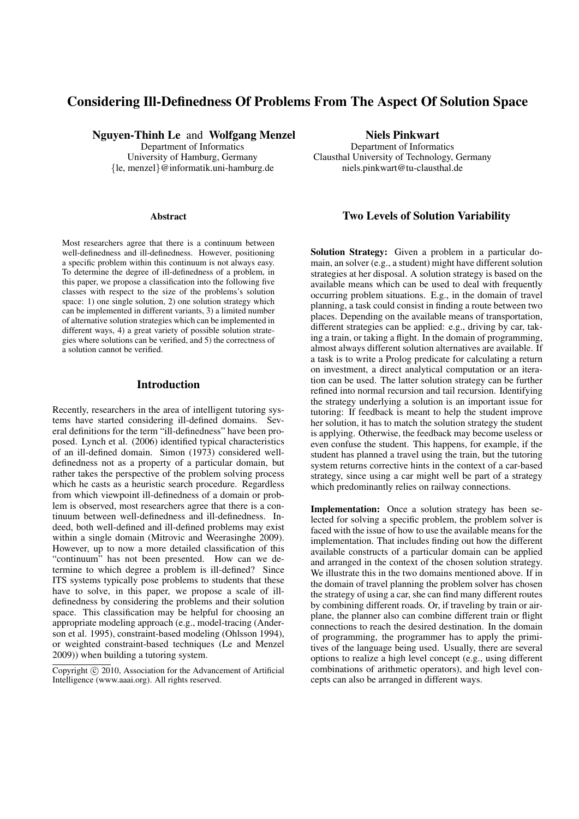# Considering Ill-Definedness Of Problems From The Aspect Of Solution Space

Nguyen-Thinh Le and Wolfgang Menzel Department of Informatics University of Hamburg, Germany {le, menzel}@informatik.uni-hamburg.de

#### Abstract

Most researchers agree that there is a continuum between well-definedness and ill-definedness. However, positioning a specific problem within this continuum is not always easy. To determine the degree of ill-definedness of a problem, in this paper, we propose a classification into the following five classes with respect to the size of the problems's solution space: 1) one single solution, 2) one solution strategy which can be implemented in different variants, 3) a limited number of alternative solution strategies which can be implemented in different ways, 4) a great variety of possible solution strategies where solutions can be verified, and 5) the correctness of a solution cannot be verified.

#### Introduction

Recently, researchers in the area of intelligent tutoring systems have started considering ill-defined domains. Several definitions for the term "ill-definedness" have been proposed. Lynch et al. (2006) identified typical characteristics of an ill-defined domain. Simon (1973) considered welldefinedness not as a property of a particular domain, but rather takes the perspective of the problem solving process which he casts as a heuristic search procedure. Regardless from which viewpoint ill-definedness of a domain or problem is observed, most researchers agree that there is a continuum between well-definedness and ill-definedness. Indeed, both well-defined and ill-defined problems may exist within a single domain (Mitrovic and Weerasinghe 2009). However, up to now a more detailed classification of this "continuum" has not been presented. How can we determine to which degree a problem is ill-defined? Since ITS systems typically pose problems to students that these have to solve, in this paper, we propose a scale of illdefinedness by considering the problems and their solution space. This classification may be helpful for choosing an appropriate modeling approach (e.g., model-tracing (Anderson et al. 1995), constraint-based modeling (Ohlsson 1994), or weighted constraint-based techniques (Le and Menzel 2009)) when building a tutoring system.

Niels Pinkwart Department of Informatics Clausthal University of Technology, Germany niels.pinkwart@tu-clausthal.de

### Two Levels of Solution Variability

Solution Strategy: Given a problem in a particular domain, an solver (e.g., a student) might have different solution strategies at her disposal. A solution strategy is based on the available means which can be used to deal with frequently occurring problem situations. E.g., in the domain of travel planning, a task could consist in finding a route between two places. Depending on the available means of transportation, different strategies can be applied: e.g., driving by car, taking a train, or taking a flight. In the domain of programming, almost always different solution alternatives are available. If a task is to write a Prolog predicate for calculating a return on investment, a direct analytical computation or an iteration can be used. The latter solution strategy can be further refined into normal recursion and tail recursion. Identifying the strategy underlying a solution is an important issue for tutoring: If feedback is meant to help the student improve her solution, it has to match the solution strategy the student is applying. Otherwise, the feedback may become useless or even confuse the student. This happens, for example, if the student has planned a travel using the train, but the tutoring system returns corrective hints in the context of a car-based strategy, since using a car might well be part of a strategy which predominantly relies on railway connections.

Implementation: Once a solution strategy has been selected for solving a specific problem, the problem solver is faced with the issue of how to use the available means for the implementation. That includes finding out how the different available constructs of a particular domain can be applied and arranged in the context of the chosen solution strategy. We illustrate this in the two domains mentioned above. If in the domain of travel planning the problem solver has chosen the strategy of using a car, she can find many different routes by combining different roads. Or, if traveling by train or airplane, the planner also can combine different train or flight connections to reach the desired destination. In the domain of programming, the programmer has to apply the primitives of the language being used. Usually, there are several options to realize a high level concept (e.g., using different combinations of arithmetic operators), and high level concepts can also be arranged in different ways.

Copyright © 2010, Association for the Advancement of Artificial Intelligence (www.aaai.org). All rights reserved.